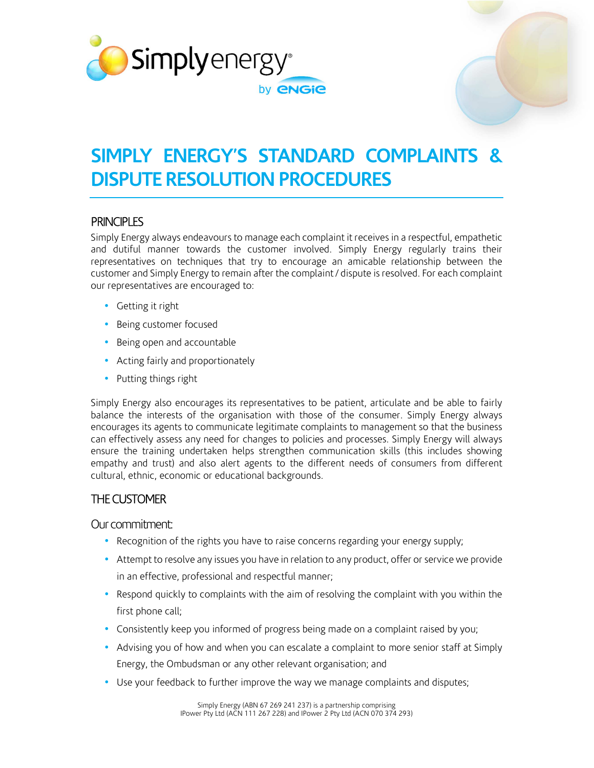



# **SIMPLY ENERGY'S STANDARD COMPLAINTS & DISPUTE RESOLUTION PROCEDURES**

### **PRINCIPLES**

Simply Energy always endeavours to manage each complaint it receives in a respectful, empathetic and dutiful manner towards the customer involved. Simply Energy regularly trains their representatives on techniques that try to encourage an amicable relationship between the customer and Simply Energy to remain after the complaint / dispute is resolved. For each complaint our representatives are encouraged to:

- Getting it right
- Being customer focused
- Being open and accountable
- Acting fairly and proportionately
- Putting things right

Simply Energy also encourages its representatives to be patient, articulate and be able to fairly balance the interests of the organisation with those of the consumer. Simply Energy always encourages its agents to communicate legitimate complaints to management so that the business can effectively assess any need for changes to policies and processes. Simply Energy will always ensure the training undertaken helps strengthen communication skills (this includes showing empathy and trust) and also alert agents to the different needs of consumers from different cultural, ethnic, economic or educational backgrounds.

### THE CUSTOMER

Our commitment:

- Recognition of the rights you have to raise concerns regarding your energy supply;
- Attempt to resolve any issues you have in relation to any product, offer or service we provide in an effective, professional and respectful manner;
- Respond quickly to complaints with the aim of resolving the complaint with you within the first phone call;
- Consistently keep you informed of progress being made on a complaint raised by you;
- Advising you of how and when you can escalate a complaint to more senior staff at Simply Energy, the Ombudsman or any other relevant organisation; and
- Use your feedback to further improve the way we manage complaints and disputes;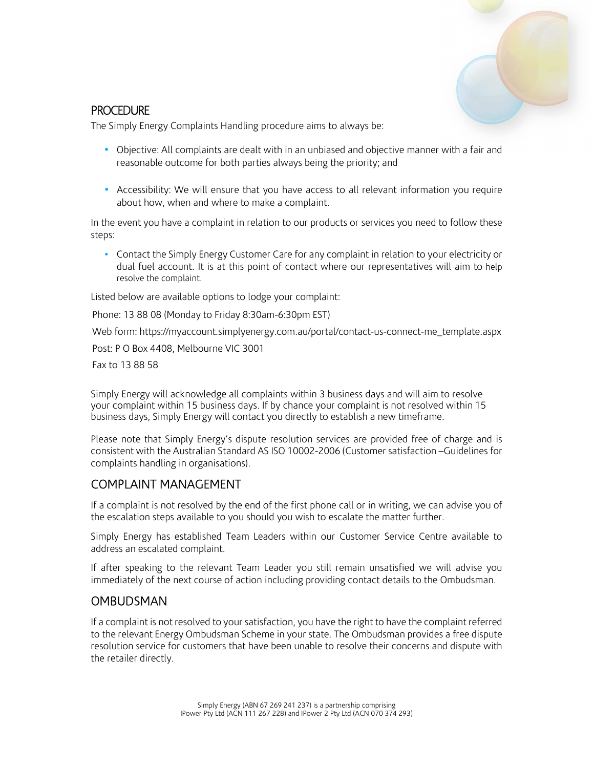

#### **PROCEDURE**

The Simply Energy Complaints Handling procedure aims to always be:

- Objective: All complaints are dealt with in an unbiased and objective manner with a fair and reasonable outcome for both parties always being the priority; and
- Accessibility: We will ensure that you have access to all relevant information you require about how, when and where to make a complaint.

In the event you have a complaint in relation to our products or services you need to follow these steps:

• Contact the Simply Energy Customer Care for any complaint in relation to your electricity or dual fuel account. It is at this point of contact where our representatives will aim to help resolve the complaint.

Listed below are available options to lodge your complaint:

Phone: 13 88 08 (Monday to Friday 8:30am-6:30pm EST)

Web form: https://myaccount.simplyenergy.com.au/portal/contact-us-connect-me\_template.aspx

Post: P O Box 4408, Melbourne VIC 3001

Fax to 13 88 58

Simply Energy will acknowledge all complaints within 3 business days and will aim to resolve your complaint within 15 business days. If by chance your complaint is not resolved within 15 business days, Simply Energy will contact you directly to establish a new timeframe.

Please note that Simply Energy's dispute resolution services are provided free of charge and is consistent with the Australian Standard AS ISO 10002-2006 (Customer satisfaction –Guidelines for complaints handling in organisations).

## COMPLAINT MANAGEMENT

If a complaint is not resolved by the end of the first phone call or in writing, we can advise you of the escalation steps available to you should you wish to escalate the matter further.

Simply Energy has established Team Leaders within our Customer Service Centre available to address an escalated complaint.

If after speaking to the relevant Team Leader you still remain unsatisfied we will advise you immediately of the next course of action including providing contact details to the Ombudsman.

### **OMBUDSMAN**

If a complaint is not resolved to your satisfaction, you have the right to have the complaint referred to the relevant Energy Ombudsman Scheme in your state. The Ombudsman provides a free dispute resolution service for customers that have been unable to resolve their concerns and dispute with the retailer directly.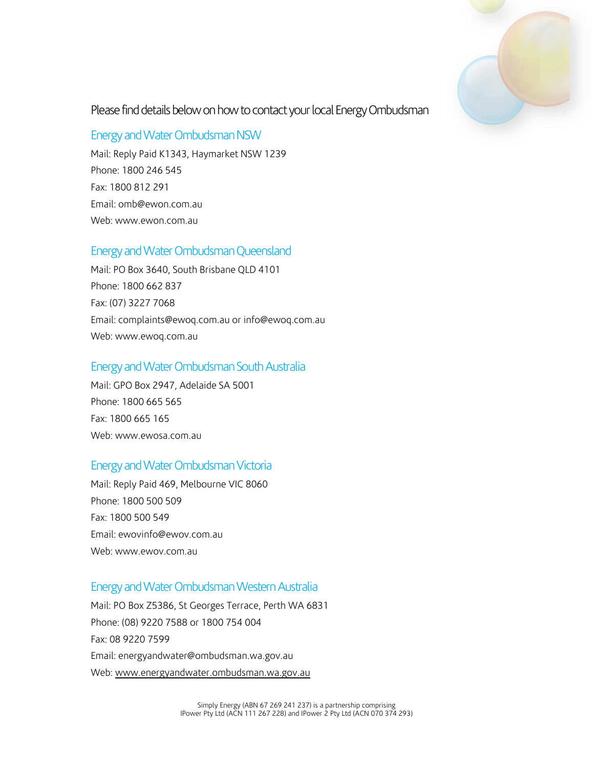

### Please find details below on how to contact your local Energy Ombudsman

#### Energy and Water Ombudsman NSW

Mail: Reply Paid K1343, Haymarket NSW 1239 Phone: 1800 246 545 Fax: 1800 812 291 Email: omb@ewon.com.au Web: www.ewon.com.au

#### Energy and Water Ombudsman Queensland

Mail: PO Box 3640, South Brisbane QLD 4101 Phone: 1800 662 837 Fax: (07) 3227 7068 Email: complaints@ewoq.com.au or info@ewoq.com.au Web: www.ewoq.com.au

#### Energy and Water Ombudsman South Australia

Mail: GPO Box 2947, Adelaide SA 5001 Phone: 1800 665 565 Fax: 1800 665 165 Web: www.ewosa.com.au

### Energy and Water Ombudsman Victoria

Mail: Reply Paid 469, Melbourne VIC 8060 Phone: 1800 500 509 Fax: 1800 500 549 Email: ewovinfo@ewov.com.au Web: www.ewov.com.au

#### Energy and Water Ombudsman Western Australia

Mail: PO Box Z5386, St Georges Terrace, Perth WA 6831 Phone: (08) 9220 7588 or 1800 754 004 Fax: 08 9220 7599 Email: energyandwater@ombudsman.wa.gov.au Web: www.energyandwater.ombudsman.wa.gov.au